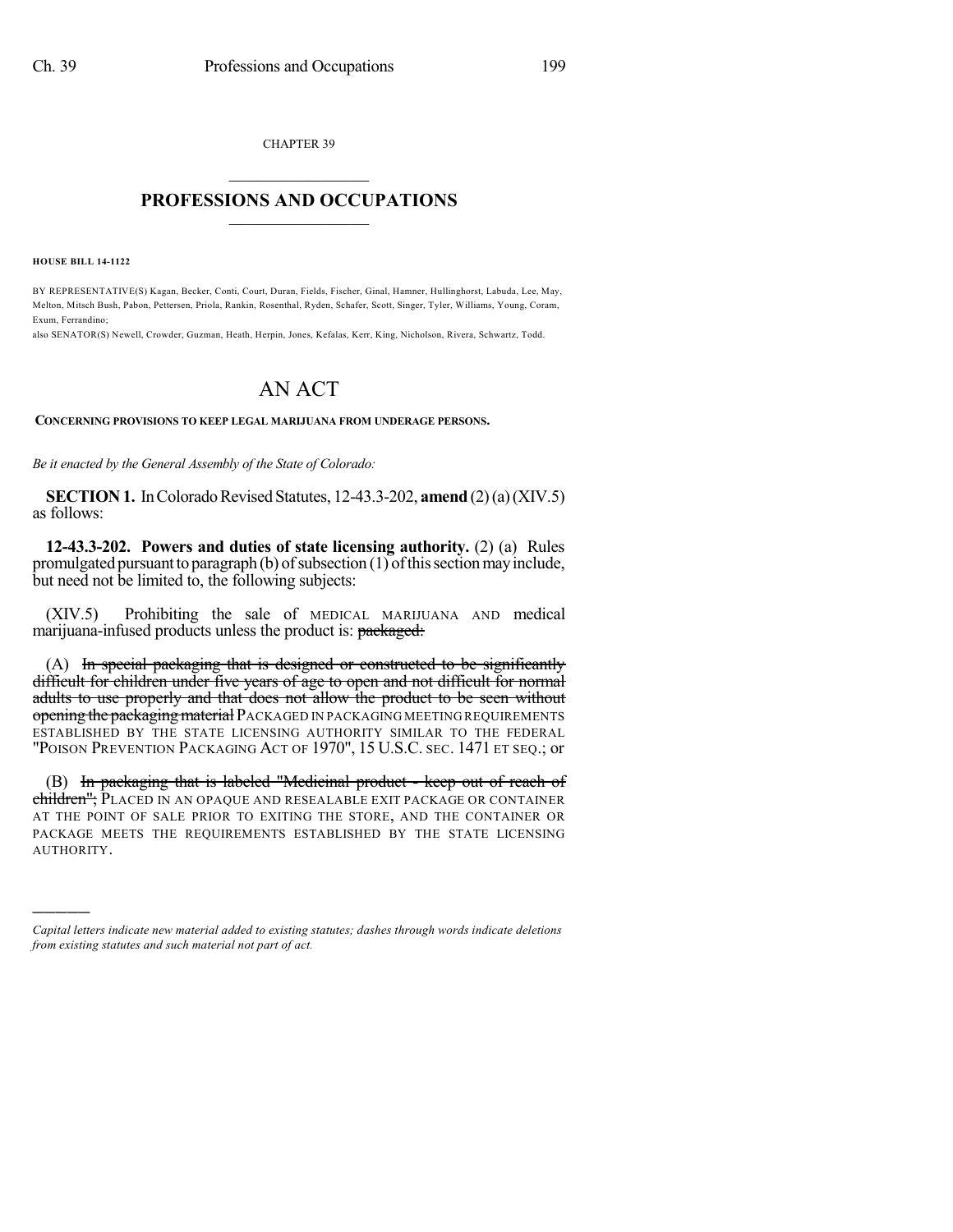CHAPTER 39  $\overline{\phantom{a}}$  . The set of the set of the set of the set of the set of the set of the set of the set of the set of the set of the set of the set of the set of the set of the set of the set of the set of the set of the set o

## **PROFESSIONS AND OCCUPATIONS**  $\frac{1}{2}$  ,  $\frac{1}{2}$  ,  $\frac{1}{2}$  ,  $\frac{1}{2}$  ,  $\frac{1}{2}$  ,  $\frac{1}{2}$  ,  $\frac{1}{2}$

**HOUSE BILL 14-1122**

)))))

BY REPRESENTATIVE(S) Kagan, Becker, Conti, Court, Duran, Fields, Fischer, Ginal, Hamner, Hullinghorst, Labuda, Lee, May, Melton, Mitsch Bush, Pabon, Pettersen, Priola, Rankin, Rosenthal, Ryden, Schafer, Scott, Singer, Tyler, Williams, Young, Coram, Exum, Ferrandino;

also SENATOR(S) Newell, Crowder, Guzman, Heath, Herpin, Jones, Kefalas, Kerr, King, Nicholson, Rivera, Schwartz, Todd.

## AN ACT

## **CONCERNING PROVISIONS TO KEEP LEGAL MARIJUANA FROM UNDERAGE PERSONS.**

*Be it enacted by the General Assembly of the State of Colorado:*

**SECTION 1.** In Colorado Revised Statutes, 12-43.3-202, **amend** (2)(a)(XIV.5) as follows:

**12-43.3-202. Powers and duties of state licensing authority.** (2) (a) Rules promulgated pursuant to paragraph (b) of subsection  $(1)$  of this section may include, but need not be limited to, the following subjects:

(XIV.5) Prohibiting the sale of MEDICAL MARIJUANA AND medical marijuana-infused products unless the product is: packaged:

(A) In special packaging that is designed or constructed to be significantly difficult for children under five years of age to open and not difficult for normal adults to use properly and that does not allow the product to be seen without opening the packaging material PACKAGED IN PACKAGING MEETING REQUIREMENTS ESTABLISHED BY THE STATE LICENSING AUTHORITY SIMILAR TO THE FEDERAL "POISON PREVENTION PACKAGING ACT OF 1970", 15 U.S.C. SEC. 1471 ET SEQ.; or

(B) In packaging that is labeled "Medicinal product - keep out of reach of children"; PLACED IN AN OPAQUE AND RESEALABLE EXIT PACKAGE OR CONTAINER AT THE POINT OF SALE PRIOR TO EXITING THE STORE, AND THE CONTAINER OR PACKAGE MEETS THE REQUIREMENTS ESTABLISHED BY THE STATE LICENSING AUTHORITY.

*Capital letters indicate new material added to existing statutes; dashes through words indicate deletions from existing statutes and such material not part of act.*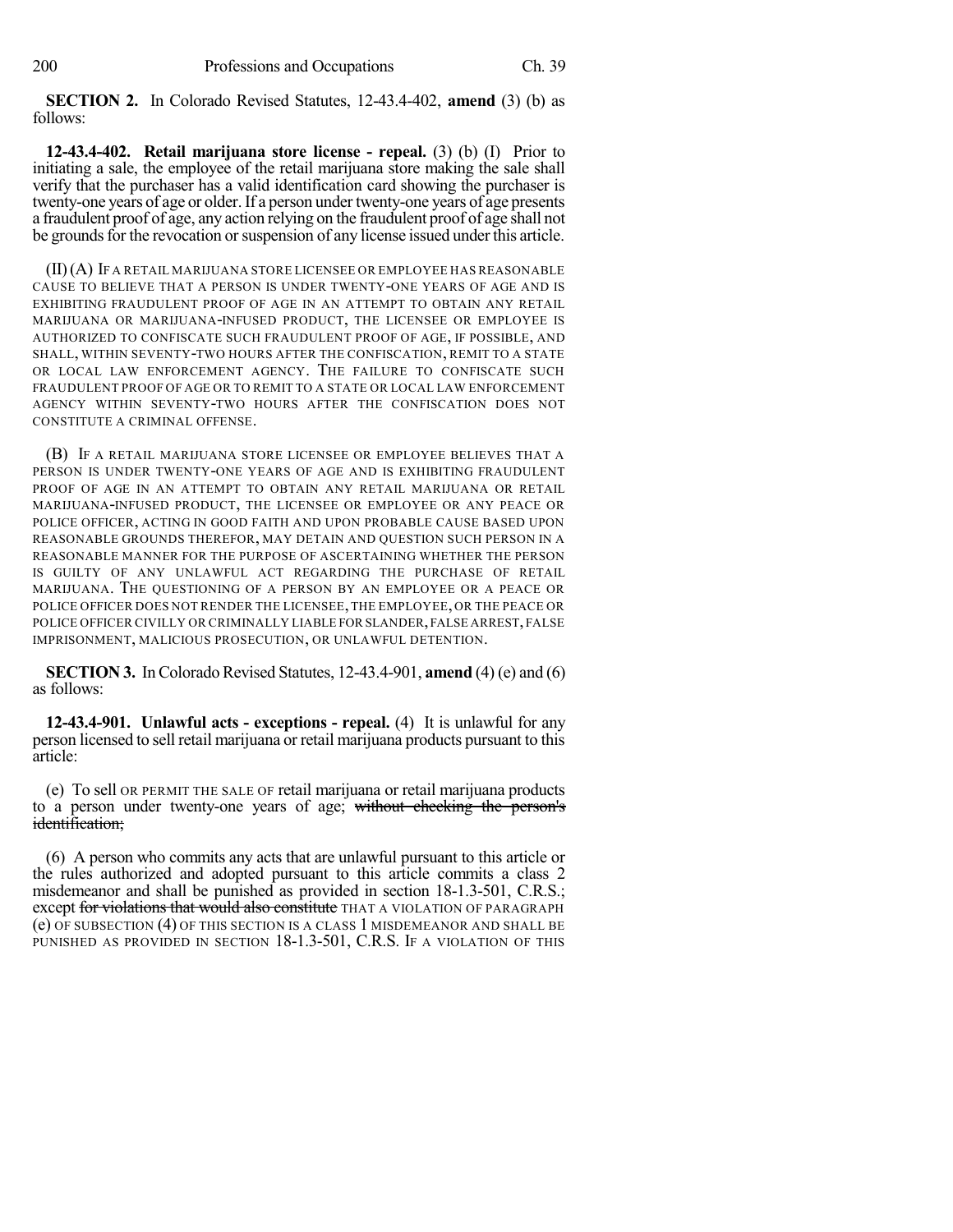**SECTION 2.** In Colorado Revised Statutes, 12-43.4-402, **amend** (3) (b) as follows:

**12-43.4-402. Retail marijuana store license - repeal.** (3) (b) (I) Prior to initiating a sale, the employee of the retail marijuana store making the sale shall verify that the purchaser has a valid identification card showing the purchaser is twenty-one years of age or older.If a person under twenty-one years of age presents a fraudulent proof of age, any action relying on the fraudulent proof of age shall not be grounds for the revocation or suspension of any license issued under this article.

(II)(A) IF A RETAIL MARIJUANA STORE LICENSEE OR EMPLOYEE HAS REASONABLE CAUSE TO BELIEVE THAT A PERSON IS UNDER TWENTY-ONE YEARS OF AGE AND IS EXHIBITING FRAUDULENT PROOF OF AGE IN AN ATTEMPT TO OBTAIN ANY RETAIL MARIJUANA OR MARIJUANA-INFUSED PRODUCT, THE LICENSEE OR EMPLOYEE IS AUTHORIZED TO CONFISCATE SUCH FRAUDULENT PROOF OF AGE, IF POSSIBLE, AND SHALL, WITHIN SEVENTY-TWO HOURS AFTER THE CONFISCATION, REMIT TO A STATE OR LOCAL LAW ENFORCEMENT AGENCY. THE FAILURE TO CONFISCATE SUCH FRAUDULENT PROOF OF AGE OR TO REMIT TO A STATE OR LOCAL LAW ENFORCEMENT AGENCY WITHIN SEVENTY-TWO HOURS AFTER THE CONFISCATION DOES NOT CONSTITUTE A CRIMINAL OFFENSE.

(B) IF A RETAIL MARIJUANA STORE LICENSEE OR EMPLOYEE BELIEVES THAT A PERSON IS UNDER TWENTY-ONE YEARS OF AGE AND IS EXHIBITING FRAUDULENT PROOF OF AGE IN AN ATTEMPT TO OBTAIN ANY RETAIL MARIJUANA OR RETAIL MARIJUANA-INFUSED PRODUCT, THE LICENSEE OR EMPLOYEE OR ANY PEACE OR POLICE OFFICER, ACTING IN GOOD FAITH AND UPON PROBABLE CAUSE BASED UPON REASONABLE GROUNDS THEREFOR, MAY DETAIN AND QUESTION SUCH PERSON IN A REASONABLE MANNER FOR THE PURPOSE OF ASCERTAINING WHETHER THE PERSON IS GUILTY OF ANY UNLAWFUL ACT REGARDING THE PURCHASE OF RETAIL MARIJUANA. THE QUESTIONING OF A PERSON BY AN EMPLOYEE OR A PEACE OR POLICE OFFICER DOES NOT RENDER THE LICENSEE, THE EMPLOYEE, OR THE PEACE OR POLICE OFFICER CIVILLY OR CRIMINALLY LIABLE FOR SLANDER,FALSE ARREST,FALSE IMPRISONMENT, MALICIOUS PROSECUTION, OR UNLAWFUL DETENTION.

**SECTION 3.** In Colorado Revised Statutes, 12-43.4-901, **amend** (4) (e) and (6) as follows:

**12-43.4-901. Unlawful acts - exceptions - repeal.** (4) It is unlawful for any person licensed to sell retail marijuana or retail marijuana products pursuant to this article:

(e) To sell OR PERMIT THE SALE OF retail marijuana or retail marijuana products to a person under twenty-one years of age; without checking the person's identification;

(6) A person who commits any acts that are unlawful pursuant to this article or the rules authorized and adopted pursuant to this article commits a class 2 misdemeanor and shall be punished as provided in section 18-1.3-501, C.R.S.; except for violations that would also constitute THAT A VIOLATION OF PARAGRAPH (e) OF SUBSECTION (4) OF THIS SECTION IS A CLASS 1 MISDEMEANOR AND SHALL BE PUNISHED AS PROVIDED IN SECTION 18-1.3-501, C.R.S. IF A VIOLATION OF THIS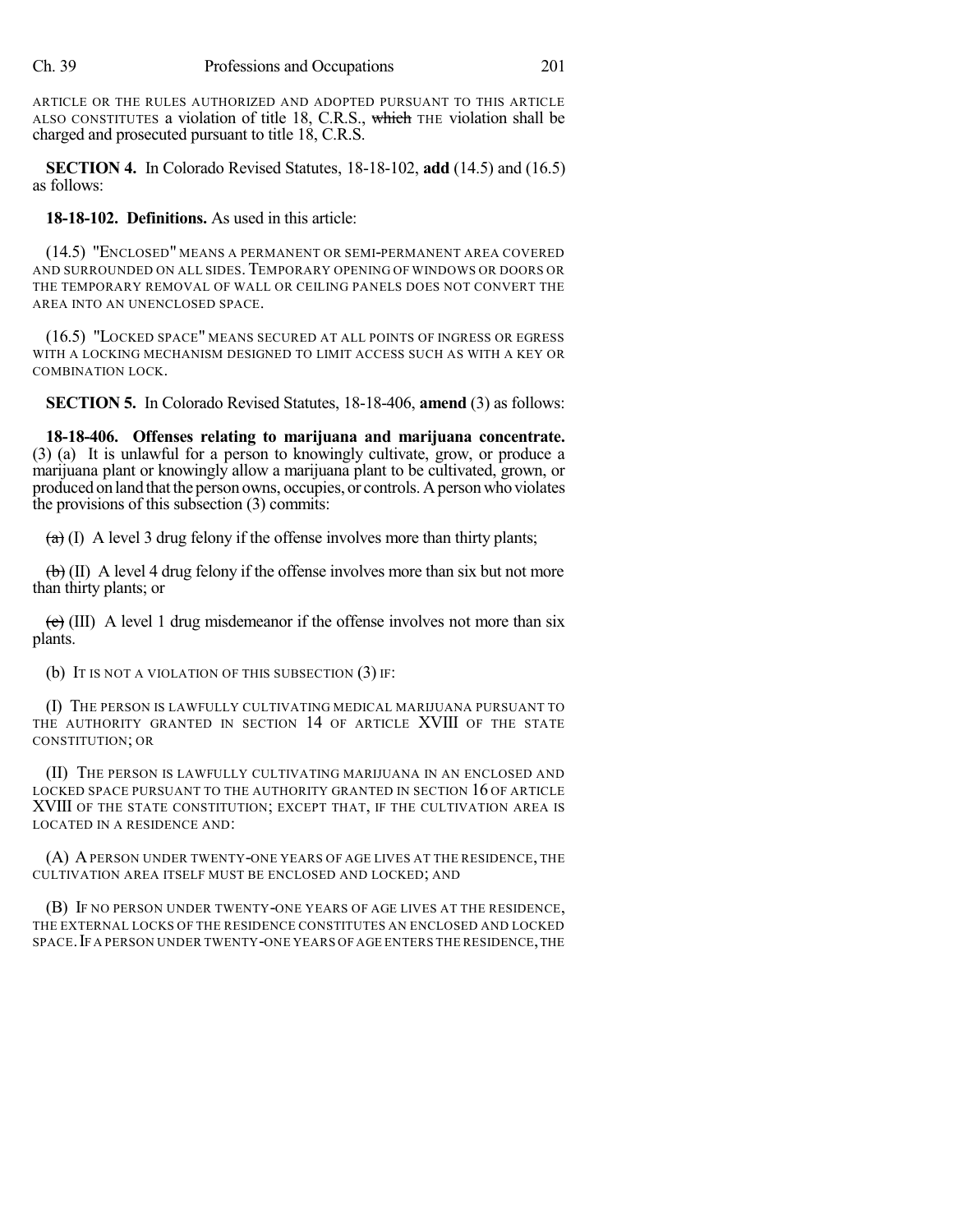ARTICLE OR THE RULES AUTHORIZED AND ADOPTED PURSUANT TO THIS ARTICLE ALSO CONSTITUTES a violation of title 18, C.R.S., which THE violation shall be charged and prosecuted pursuant to title 18, C.R.S.

**SECTION 4.** In Colorado Revised Statutes, 18-18-102, **add** (14.5) and (16.5) as follows:

**18-18-102. Definitions.** As used in this article:

(14.5) "ENCLOSED" MEANS A PERMANENT OR SEMI-PERMANENT AREA COVERED AND SURROUNDED ON ALL SIDES.TEMPORARY OPENING OF WINDOWS OR DOORS OR THE TEMPORARY REMOVAL OF WALL OR CEILING PANELS DOES NOT CONVERT THE AREA INTO AN UNENCLOSED SPACE.

(16.5) "LOCKED SPACE" MEANS SECURED AT ALL POINTS OF INGRESS OR EGRESS WITH A LOCKING MECHANISM DESIGNED TO LIMIT ACCESS SUCH AS WITH A KEY OR COMBINATION LOCK.

**SECTION 5.** In Colorado Revised Statutes, 18-18-406, **amend** (3) as follows:

**18-18-406. Offenses relating to marijuana and marijuana concentrate.** (3) (a) It is unlawful for a person to knowingly cultivate, grow, or produce a marijuana plant or knowingly allow a marijuana plant to be cultivated, grown, or produced on land that the person owns, occupies, or controls. A person who violates the provisions of this subsection (3) commits:

 $(a)$  (I) A level 3 drug felony if the offense involves more than thirty plants;

 $\left(\frac{b}{b}\right)$  (II) A level 4 drug felony if the offense involves more than six but not more than thirty plants; or

 $\overline{(e)}$  (III) A level 1 drug misdemeanor if the offense involves not more than six plants.

(b) IT IS NOT A VIOLATION OF THIS SUBSECTION (3) IF:

(I) THE PERSON IS LAWFULLY CULTIVATING MEDICAL MARIJUANA PURSUANT TO THE AUTHORITY GRANTED IN SECTION 14 OF ARTICLE XVIII OF THE STATE CONSTITUTION; OR

(II) THE PERSON IS LAWFULLY CULTIVATING MARIJUANA IN AN ENCLOSED AND LOCKED SPACE PURSUANT TO THE AUTHORITY GRANTED IN SECTION 16 OF ARTICLE XVIII OF THE STATE CONSTITUTION; EXCEPT THAT, IF THE CULTIVATION AREA IS LOCATED IN A RESIDENCE AND:

(A) APERSON UNDER TWENTY-ONE YEARS OF AGE LIVES AT THE RESIDENCE, THE CULTIVATION AREA ITSELF MUST BE ENCLOSED AND LOCKED; AND

(B) IF NO PERSON UNDER TWENTY-ONE YEARS OF AGE LIVES AT THE RESIDENCE, THE EXTERNAL LOCKS OF THE RESIDENCE CONSTITUTES AN ENCLOSED AND LOCKED SPACE. IF A PERSON UNDER TWENTY-ONE YEARS OF AGE ENTERS THE RESIDENCE, THE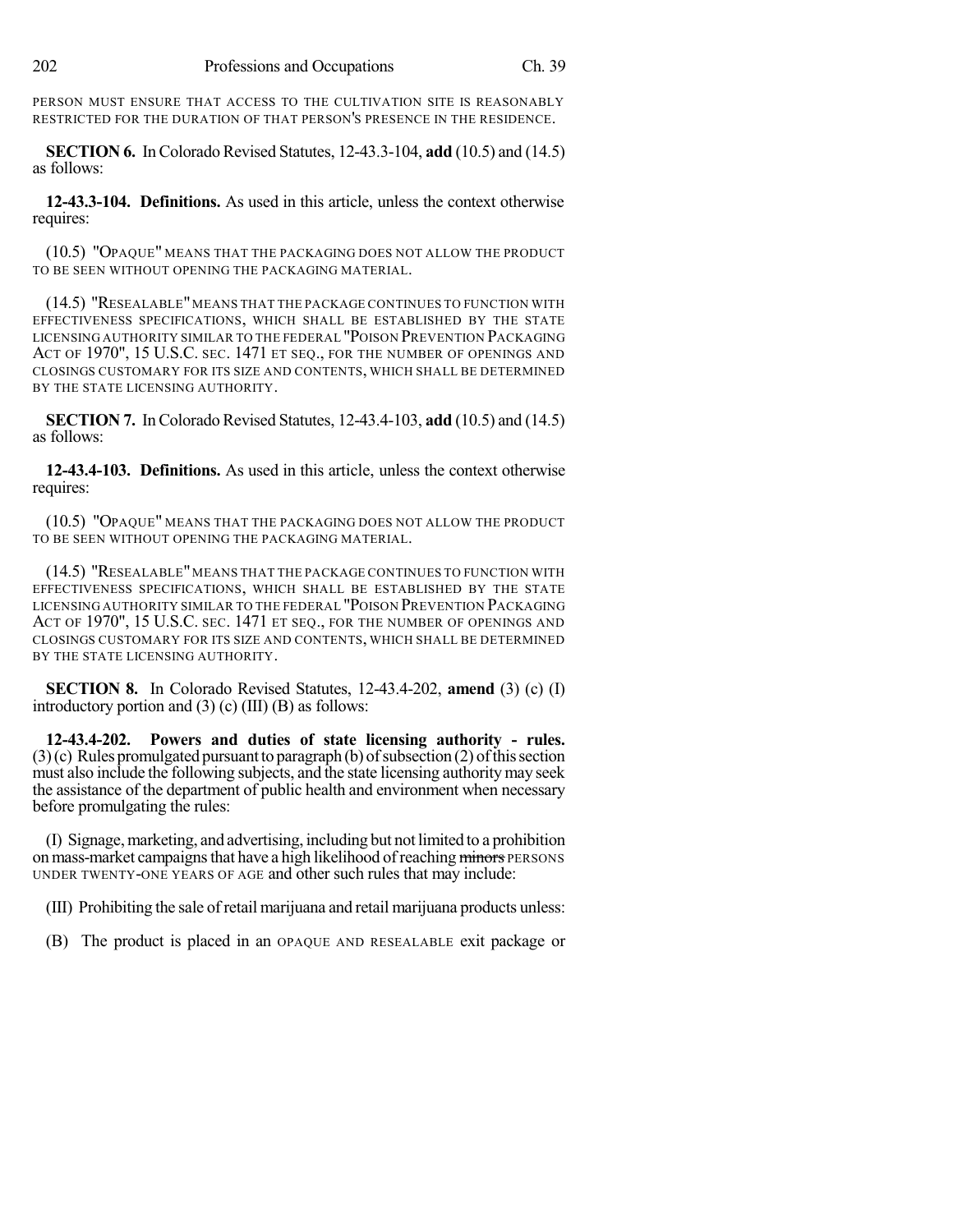PERSON MUST ENSURE THAT ACCESS TO THE CULTIVATION SITE IS REASONABLY RESTRICTED FOR THE DURATION OF THAT PERSON'S PRESENCE IN THE RESIDENCE.

**SECTION 6.** In Colorado Revised Statutes, 12-43.3-104, **add** (10.5) and (14.5) as follows:

**12-43.3-104. Definitions.** As used in this article, unless the context otherwise requires:

(10.5) "OPAQUE" MEANS THAT THE PACKAGING DOES NOT ALLOW THE PRODUCT TO BE SEEN WITHOUT OPENING THE PACKAGING MATERIAL.

(14.5) "RESEALABLE"MEANS THAT THE PACKAGE CONTINUES TO FUNCTION WITH EFFECTIVENESS SPECIFICATIONS, WHICH SHALL BE ESTABLISHED BY THE STATE LICENSING AUTHORITY SIMILAR TO THE FEDERAL "POISON PREVENTION PACKAGING ACT OF 1970", 15 U.S.C. SEC. 1471 ET SEQ., FOR THE NUMBER OF OPENINGS AND CLOSINGS CUSTOMARY FOR ITS SIZE AND CONTENTS, WHICH SHALL BE DETERMINED BY THE STATE LICENSING AUTHORITY.

**SECTION 7.** InColorado Revised Statutes, 12-43.4-103, **add** (10.5) and (14.5) as follows:

**12-43.4-103. Definitions.** As used in this article, unless the context otherwise requires:

(10.5) "OPAQUE" MEANS THAT THE PACKAGING DOES NOT ALLOW THE PRODUCT TO BE SEEN WITHOUT OPENING THE PACKAGING MATERIAL.

(14.5) "RESEALABLE" MEANS THAT THE PACKAGE CONTINUES TO FUNCTION WITH EFFECTIVENESS SPECIFICATIONS, WHICH SHALL BE ESTABLISHED BY THE STATE LICENSING AUTHORITY SIMILAR TO THE FEDERAL "POISON PREVENTION PACKAGING ACT OF 1970", 15 U.S.C. SEC. 1471 ET SEQ., FOR THE NUMBER OF OPENINGS AND CLOSINGS CUSTOMARY FOR ITS SIZE AND CONTENTS, WHICH SHALL BE DETERMINED BY THE STATE LICENSING AUTHORITY.

**SECTION 8.** In Colorado Revised Statutes, 12-43.4-202, **amend** (3) (c) (I) introductory portion and  $(3)$  (c) (III) (B) as follows:

**12-43.4-202. Powers and duties of state licensing authority - rules.**  $(3)(c)$  Rules promulgated pursuant to paragraph (b) of subsection (2) of this section must also include the following subjects, and the state licensing authority may seek the assistance of the department of public health and environment when necessary before promulgating the rules:

(I) Signage,marketing, and advertising, including but not limited to a prohibition on mass-market campaigns that have a high likelihood of reaching minors PERSONS UNDER TWENTY-ONE YEARS OF AGE and other such rules that may include:

(III) Prohibiting the sale of retail marijuana and retail marijuana products unless:

(B) The product is placed in an OPAQUE AND RESEALABLE exit package or